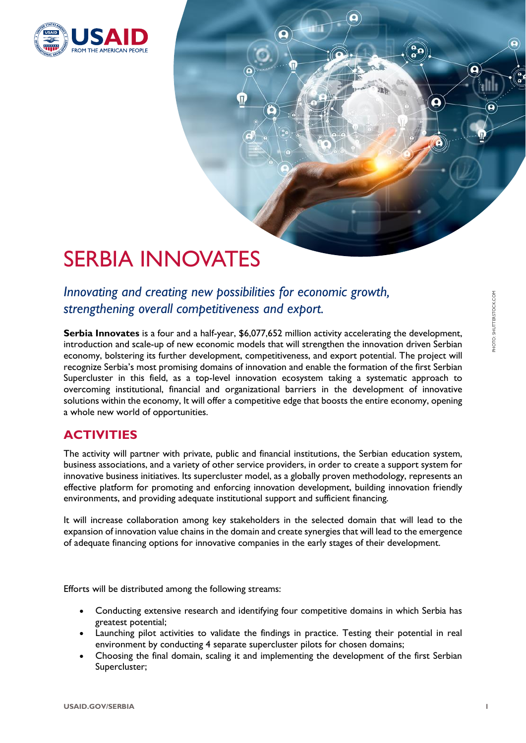

# SERBIA INNOVATES

*Innovating and creating new possibilities for economic growth, strengthening overall competitiveness and export.*

**Serbia Innovates** is a four and a half-year, \$6,077,652 million activity accelerating the development, introduction and scale-up of new economic models that will strengthen the innovation driven Serbian economy, bolstering its further development, competitiveness, and export potential. The project will recognize Serbia's most promising domains of innovation and enable the formation of the first Serbian Supercluster in this field, as a top-level innovation ecosystem taking a systematic approach to overcoming institutional, financial and organizational barriers in the development of innovative solutions within the economy, It will offer a competitive edge that boosts the entire economy, opening a whole new world of opportunities.

## **ACTIVITIES**

The activity will partner with private, public and financial institutions, the Serbian education system, business associations, and a variety of other service providers, in order to create a support system for innovative business initiatives. Its supercluster model, as a globally proven methodology, represents an effective platform for promoting and enforcing innovation development, building innovation friendly environments, and providing adequate institutional support and sufficient financing.

It will increase collaboration among key stakeholders in the selected domain that will lead to the expansion of innovation value chains in the domain and create synergies that will lead to the emergence of adequate financing options for innovative companies in the early stages of their development.

Efforts will be distributed among the following streams:

- Conducting extensive research and identifying four competitive domains in which Serbia has greatest potential;
- Launching pilot activities to validate the findings in practice. Testing their potential in real environment by conducting 4 separate supercluster pilots for chosen domains;
- Choosing the final domain, scaling it and implementing the development of the first Serbian Supercluster;

Q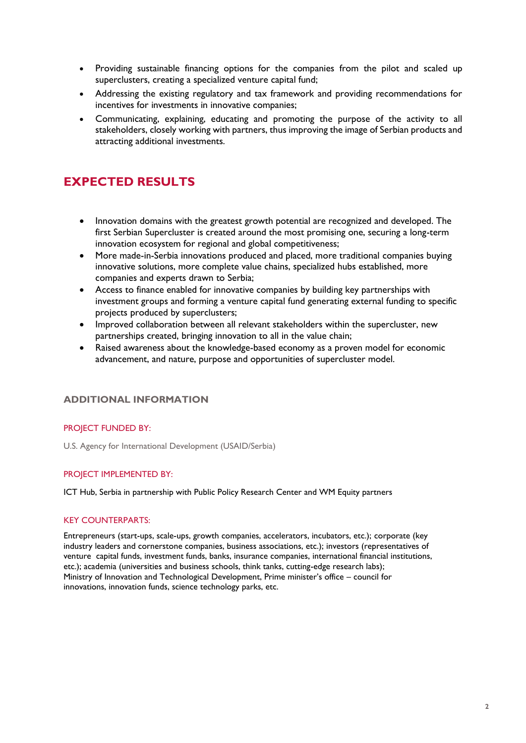- Providing sustainable financing options for the companies from the pilot and scaled up superclusters, creating a specialized venture capital fund;
- Addressing the existing regulatory and tax framework and providing recommendations for incentives for investments in innovative companies;
- Communicating, explaining, educating and promoting the purpose of the activity to all stakeholders, closely working with partners, thus improving the image of Serbian products and attracting additional investments.

# **EXPECTED RESULTS**

- Innovation domains with the greatest growth potential are recognized and developed. The first Serbian Supercluster is created around the most promising one, securing a long-term innovation ecosystem for regional and global competitiveness;
- More made-in-Serbia innovations produced and placed, more traditional companies buying innovative solutions, more complete value chains, specialized hubs established, more companies and experts drawn to Serbia;
- Access to finance enabled for innovative companies by building key partnerships with investment groups and forming a venture capital fund generating external funding to specific projects produced by superclusters;
- Improved collaboration between all relevant stakeholders within the supercluster, new partnerships created, bringing innovation to all in the value chain;
- Raised awareness about the knowledge-based economy as a proven model for economic advancement, and nature, purpose and opportunities of supercluster model.

#### **ADDITIONAL INFORMATION**

#### PROJECT FUNDED BY:

U.S. Agency for International Development (USAID/Serbia)

#### PROJECT IMPLEMENTED BY:

ICT Hub, Serbia in partnership with Public Policy Research Center and WM Equity partners

#### KEY COUNTERPARTS:

Entrepreneurs (start-ups, scale-ups, growth companies, accelerators, incubators, etc.); corporate (key industry leaders and cornerstone companies, business associations, etc.); investors (representatives of venture capital funds, investment funds, banks, insurance companies, international financial institutions, etc.); academia (universities and business schools, think tanks, cutting-edge research labs); Ministry of Innovation and Technological Development, Prime minister's office – council for innovations, innovation funds, science technology parks, etc.